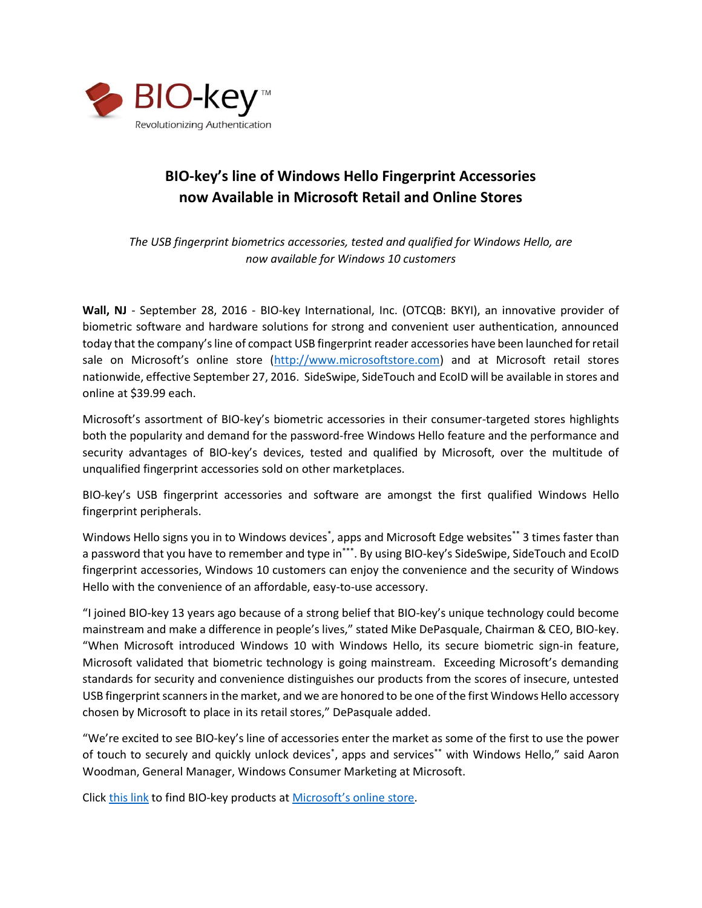

## **BIO-key's line of Windows Hello Fingerprint Accessories now Available in Microsoft Retail and Online Stores**

*The USB fingerprint biometrics accessories, tested and qualified for Windows Hello, are now available for Windows 10 customers*

**Wall, NJ** - September 28, 2016 - BIO-key International, Inc. (OTCQB: BKYI), an innovative provider of biometric software and hardware solutions for strong and convenient user authentication, announced today that the company's line of compact USB fingerprint reader accessories have been launched for retail sale on Microsoft's online store ([http://www.microsoftstore.com\)](http://www.microsoftstore.com/) and at Microsoft retail stores nationwide, effective September 27, 2016. SideSwipe, SideTouch and EcoID will be available in stores and online at \$39.99 each.

Microsoft's assortment of BIO-key's biometric accessories in their consumer-targeted stores highlights both the popularity and demand for the password-free Windows Hello feature and the performance and security advantages of BIO-key's devices, tested and qualified by Microsoft, over the multitude of unqualified fingerprint accessories sold on other marketplaces.

BIO-key's USB fingerprint accessories and software are amongst the first qualified Windows Hello fingerprint peripherals.

Windows Hello signs you in to Windows devices<sup>\*</sup>, apps and Microsoft Edge websites\*\* 3 times faster than a password that you have to remember and type in\*\*\*. By using BIO-key's SideSwipe, SideTouch and EcoID fingerprint accessories, Windows 10 customers can enjoy the convenience and the security of Windows Hello with the convenience of an affordable, easy-to-use accessory.

"I joined BIO-key 13 years ago because of a strong belief that BIO-key's unique technology could become mainstream and make a difference in people's lives," stated Mike DePasquale, Chairman & CEO, BIO-key. "When Microsoft introduced Windows 10 with Windows Hello, its secure biometric sign-in feature, Microsoft validated that biometric technology is going mainstream. Exceeding Microsoft's demanding standards for security and convenience distinguishes our products from the scores of insecure, untested USB fingerprint scanners in the market, and we are honored to be one of the first Windows Hello accessory chosen by Microsoft to place in its retail stores," DePasquale added.

"We're excited to see BIO-key's line of accessories enter the market as some of the first to use the power of touch to securely and quickly unlock devices<sup>\*</sup>, apps and services<sup>\*\*</sup> with Windows Hello," said Aaron Woodman, General Manager, Windows Consumer Marketing at Microsoft.

Click [this link](https://www.microsoftstore.com/store?keywords=bio-key&SiteID=msusa&Locale=en_US&Action=DisplayProductSearchResultsPage&result=&filters&sortby=score%20descending&filters=bio-key) to find BIO-key products at Microsoft's [online store.](https://www.microsoftstore.com/store?keywords=bio-key&SiteID=msusa&Locale=en_US&Action=DisplayProductSearchResultsPage&result=&filters&sortby=score%20descending&filters=bio-key)